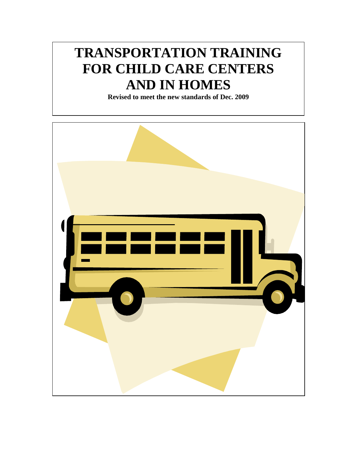# **TRANSPORTATION TRAINING FOR CHILD CARE CENTERS AND IN HOMES**

**Revised to meet the new standards of Dec. 2009**

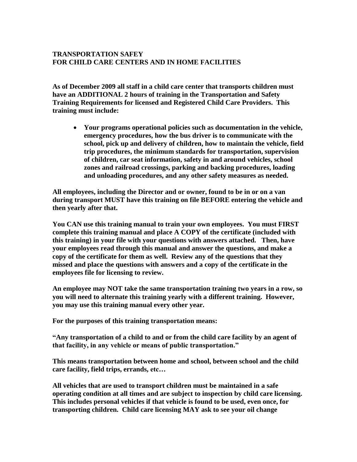# **TRANSPORTATION SAFEY FOR CHILD CARE CENTERS AND IN HOME FACILITIES**

**As of December 2009 all staff in a child care center that transports children must have an ADDITIONAL 2 hours of training in the Transportation and Safety Training Requirements for licensed and Registered Child Care Providers. This training must include:**

 **Your programs operational policies such as documentation in the vehicle, emergency procedures, how the bus driver is to communicate with the school, pick up and delivery of children, how to maintain the vehicle, field trip procedures, the minimum standards for transportation, supervision of children, car seat information, safety in and around vehicles, school zones and railroad crossings, parking and backing procedures, loading and unloading procedures, and any other safety measures as needed.** 

**All employees, including the Director and or owner, found to be in or on a van during transport MUST have this training on file BEFORE entering the vehicle and then yearly after that.** 

**You CAN use this training manual to train your own employees. You must FIRST complete this training manual and place A COPY of the certificate (included with this training) in your file with your questions with answers attached. Then, have your employees read through this manual and answer the questions, and make a copy of the certificate for them as well. Review any of the questions that they missed and place the questions with answers and a copy of the certificate in the employees file for licensing to review.** 

**An employee may NOT take the same transportation training two years in a row, so you will need to alternate this training yearly with a different training. However, you may use this training manual every other year.**

**For the purposes of this training transportation means:**

**―Any transportation of a child to and or from the child care facility by an agent of that facility, in any vehicle or means of public transportation.‖** 

**This means transportation between home and school, between school and the child care facility, field trips, errands, etc…**

**All vehicles that are used to transport children must be maintained in a safe operating condition at all times and are subject to inspection by child care licensing. This includes personal vehicles if that vehicle is found to be used, even once, for transporting children. Child care licensing MAY ask to see your oil change**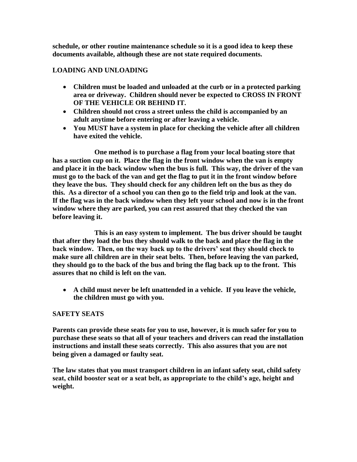**schedule, or other routine maintenance schedule so it is a good idea to keep these documents available, although these are not state required documents.** 

## **LOADING AND UNLOADING**

- **Children must be loaded and unloaded at the curb or in a protected parking area or driveway. Children should never be expected to CROSS IN FRONT OF THE VEHICLE OR BEHIND IT.**
- **Children should not cross a street unless the child is accompanied by an adult anytime before entering or after leaving a vehicle.**
- **You MUST have a system in place for checking the vehicle after all children have exited the vehicle.**

**One method is to purchase a flag from your local boating store that has a suction cup on it. Place the flag in the front window when the van is empty and place it in the back window when the bus is full. This way, the driver of the van must go to the back of the van and get the flag to put it in the front window before they leave the bus. They should check for any children left on the bus as they do this. As a director of a school you can then go to the field trip and look at the van. If the flag was in the back window when they left your school and now is in the front window where they are parked, you can rest assured that they checked the van before leaving it.** 

**This is an easy system to implement. The bus driver should be taught that after they load the bus they should walk to the back and place the flag in the back window. Then, on the way back up to the drivers' seat they should check to make sure all children are in their seat belts. Then, before leaving the van parked, they should go to the back of the bus and bring the flag back up to the front. This assures that no child is left on the van.** 

 **A child must never be left unattended in a vehicle. If you leave the vehicle, the children must go with you.** 

#### **SAFETY SEATS**

**Parents can provide these seats for you to use, however, it is much safer for you to purchase these seats so that all of your teachers and drivers can read the installation instructions and install these seats correctly. This also assures that you are not being given a damaged or faulty seat.** 

**The law states that you must transport children in an infant safety seat, child safety seat, child booster seat or a seat belt, as appropriate to the child's age, height and weight.**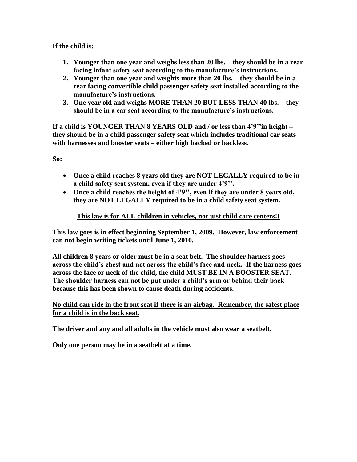## **If the child is:**

- **1. Younger than one year and weighs less than 20 lbs. – they should be in a rear facing infant safety seat according to the manufacture's instructions.**
- **2. Younger than one year and weights more than 20 lbs. – they should be in a rear facing convertible child passenger safety seat installed according to the manufacture's instructions.**
- **3. One year old and weighs MORE THAN 20 BUT LESS THAN 40 lbs. – they should be in a car seat according to the manufacture's instructions.**

**If a child is YOUNGER THAN 8 YEARS OLD and / or less than 4'9''in height – they should be in a child passenger safety seat which includes traditional car seats with harnesses and booster seats – either high backed or backless.**

**So:**

- **Once a child reaches 8 years old they are NOT LEGALLY required to be in a child safety seat system, even if they are under 4'9''.**
- **Once a child reaches the height of 4'9'', even if they are under 8 years old, they are NOT LEGALLY required to be in a child safety seat system.**

## **This law is for ALL children in vehicles, not just child care centers!!**

**This law goes is in effect beginning September 1, 2009. However, law enforcement can not begin writing tickets until June 1, 2010.** 

**All children 8 years or older must be in a seat belt. The shoulder harness goes across the child's chest and not across the child's face and neck. If the harness goes across the face or neck of the child, the child MUST BE IN A BOOSTER SEAT. The shoulder harness can not be put under a child's arm or behind their back because this has been shown to cause death during accidents.** 

## **No child can ride in the front seat if there is an airbag. Remember, the safest place for a child is in the back seat.**

**The driver and any and all adults in the vehicle must also wear a seatbelt.** 

**Only one person may be in a seatbelt at a time.**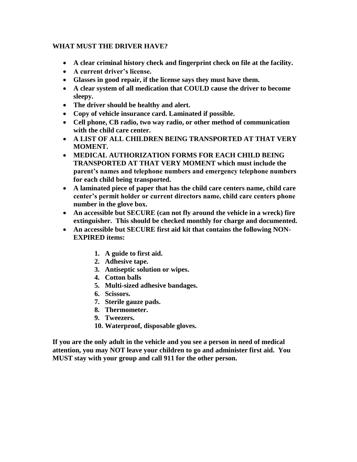## **WHAT MUST THE DRIVER HAVE?**

- **A clear criminal history check and fingerprint check on file at the facility.**
- **A current driver's license.**
- **Glasses in good repair, if the license says they must have them.**
- **A clear system of all medication that COULD cause the driver to become sleepy.**
- **The driver should be healthy and alert.**
- **Copy of vehicle insurance card. Laminated if possible.**
- **Cell phone, CB radio, two way radio, or other method of communication with the child care center.**
- **A LIST OF ALL CHILDREN BEING TRANSPORTED AT THAT VERY MOMENT.**
- **MEDICAL AUTHORIZATION FORMS FOR EACH CHILD BEING TRANSPORTED AT THAT VERY MOMENT which must include the parent's names and telephone numbers and emergency telephone numbers for each child being transported.**
- **A laminated piece of paper that has the child care centers name, child care center's permit holder or current directors name, child care centers phone number in the glove box.**
- **An accessible but SECURE (can not fly around the vehicle in a wreck) fire extinguisher. This should be checked monthly for charge and documented.**
- **An accessible but SECURE first aid kit that contains the following NON-EXPIRED items:**
	- **1. A guide to first aid.**
	- **2. Adhesive tape.**
	- **3. Antiseptic solution or wipes.**
	- **4. Cotton balls**
	- **5. Multi-sized adhesive bandages.**
	- **6. Scissors.**
	- **7. Sterile gauze pads.**
	- **8. Thermometer.**
	- **9. Tweezers.**
	- **10. Waterproof, disposable gloves.**

**If you are the only adult in the vehicle and you see a person in need of medical attention, you may NOT leave your children to go and administer first aid. You MUST stay with your group and call 911 for the other person.**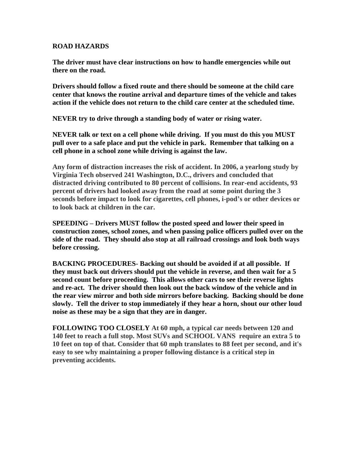#### **ROAD HAZARDS**

**The driver must have clear instructions on how to handle emergencies while out there on the road.** 

**Drivers should follow a fixed route and there should be someone at the child care center that knows the routine arrival and departure times of the vehicle and takes action if the vehicle does not return to the child care center at the scheduled time.** 

**NEVER try to drive through a standing body of water or rising water.** 

**NEVER talk or text on a cell phone while driving. If you must do this you MUST pull over to a safe place and put the vehicle in park. Remember that talking on a cell phone in a school zone while driving is against the law.**

**Any form of distraction increases the risk of accident. In 2006, a yearlong study by Virginia Tech observed 241 Washington, D.C., drivers and concluded that distracted driving contributed to 80 percent of collisions. In rear-end accidents, 93 percent of drivers had looked away from the road at some point during the 3 seconds before impact to look for cigarettes, cell phones, i-pod's or other devices or to look back at children in the car.** 

**SPEEDING – Drivers MUST follow the posted speed and lower their speed in construction zones, school zones, and when passing police officers pulled over on the side of the road. They should also stop at all railroad crossings and look both ways before crossing.** 

**BACKING PROCEDURES- Backing out should be avoided if at all possible. If they must back out drivers should put the vehicle in reverse, and then wait for a 5 second count before proceeding. This allows other cars to see their reverse lights and re-act. The driver should then look out the back window of the vehicle and in the rear view mirror and both side mirrors before backing. Backing should be done slowly. Tell the driver to stop immediately if they hear a horn, shout our other loud noise as these may be a sign that they are in danger.**

**FOLLOWING TOO CLOSELY At 60 mph, a typical car needs between 120 and 140 feet to reach a full stop. Most SUVs and SCHOOL VANS require an extra 5 to 10 feet on top of that. Consider that 60 mph translates to 88 feet per second, and it's easy to see why maintaining a proper following distance is a critical step in preventing accidents.**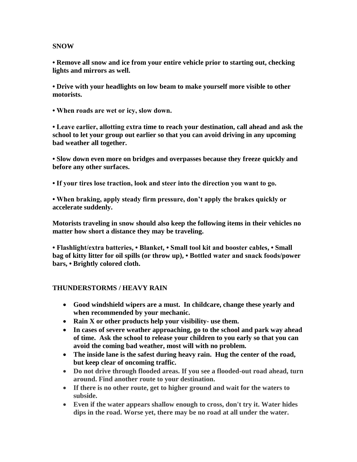#### **SNOW**

**• Remove all snow and ice from your entire vehicle prior to starting out, checking lights and mirrors as well.**

**• Drive with your headlights on low beam to make yourself more visible to other motorists.**

**• When roads are wet or icy, slow down.**

**• Leave earlier, allotting extra time to reach your destination, call ahead and ask the school to let your group out earlier so that you can avoid driving in any upcoming bad weather all together.** 

**• Slow down even more on bridges and overpasses because they freeze quickly and before any other surfaces.**

**• If your tires lose traction, look and steer into the direction you want to go.** 

**• When braking, apply steady firm pressure, don't apply the brakes quickly or accelerate suddenly.**

**Motorists traveling in snow should also keep the following items in their vehicles no matter how short a distance they may be traveling.**

**• Flashlight/extra batteries, • Blanket, • Small tool kit and booster cables, • Small bag of kitty litter for oil spills (or throw up), • Bottled water and snack foods/power bars, • Brightly colored cloth.**

#### **THUNDERSTORMS / HEAVY RAIN**

- **Good windshield wipers are a must. In childcare, change these yearly and when recommended by your mechanic.**
- **Rain X or other products help your visibility- use them.**
- **In cases of severe weather approaching, go to the school and park way ahead of time. Ask the school to release your children to you early so that you can avoid the coming bad weather, most will with no problem.**
- **The inside lane is the safest during heavy rain. Hug the center of the road, but keep clear of oncoming traffic.**
- **Do not drive through flooded areas. If you see a flooded-out road ahead, turn around. Find another route to your destination.**
- **If there is no other route, get to higher ground and wait for the waters to subside.**
- **Even if the water appears shallow enough to cross, don't try it. Water hides dips in the road. Worse yet, there may be no road at all under the water.**